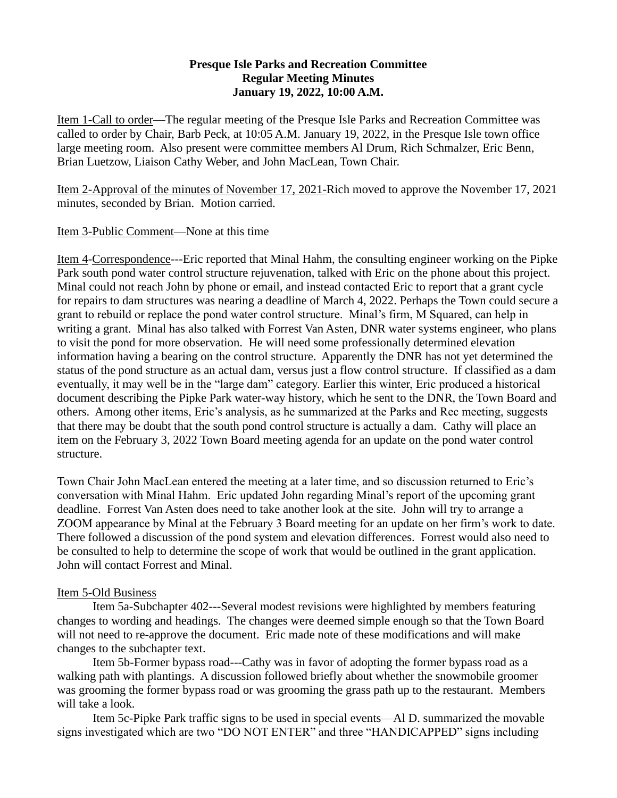## **Presque Isle Parks and Recreation Committee Regular Meeting Minutes January 19, 2022, 10:00 A.M.**

Item 1-Call to order—The regular meeting of the Presque Isle Parks and Recreation Committee was called to order by Chair, Barb Peck, at 10:05 A.M. January 19, 2022, in the Presque Isle town office large meeting room. Also present were committee members Al Drum, Rich Schmalzer, Eric Benn, Brian Luetzow, Liaison Cathy Weber, and John MacLean, Town Chair.

Item 2-Approval of the minutes of November 17, 2021-Rich moved to approve the November 17, 2021 minutes, seconded by Brian. Motion carried.

## Item 3-Public Comment—None at this time

Item 4-Correspondence---Eric reported that Minal Hahm, the consulting engineer working on the Pipke Park south pond water control structure rejuvenation, talked with Eric on the phone about this project. Minal could not reach John by phone or email, and instead contacted Eric to report that a grant cycle for repairs to dam structures was nearing a deadline of March 4, 2022. Perhaps the Town could secure a grant to rebuild or replace the pond water control structure. Minal's firm, M Squared, can help in writing a grant. Minal has also talked with Forrest Van Asten, DNR water systems engineer, who plans to visit the pond for more observation. He will need some professionally determined elevation information having a bearing on the control structure. Apparently the DNR has not yet determined the status of the pond structure as an actual dam, versus just a flow control structure. If classified as a dam eventually, it may well be in the "large dam" category. Earlier this winter, Eric produced a historical document describing the Pipke Park water-way history, which he sent to the DNR, the Town Board and others. Among other items, Eric's analysis, as he summarized at the Parks and Rec meeting, suggests that there may be doubt that the south pond control structure is actually a dam. Cathy will place an item on the February 3, 2022 Town Board meeting agenda for an update on the pond water control structure.

Town Chair John MacLean entered the meeting at a later time, and so discussion returned to Eric's conversation with Minal Hahm. Eric updated John regarding Minal's report of the upcoming grant deadline. Forrest Van Asten does need to take another look at the site. John will try to arrange a ZOOM appearance by Minal at the February 3 Board meeting for an update on her firm's work to date. There followed a discussion of the pond system and elevation differences. Forrest would also need to be consulted to help to determine the scope of work that would be outlined in the grant application. John will contact Forrest and Minal.

## Item 5-Old Business

Item 5a-Subchapter 402---Several modest revisions were highlighted by members featuring changes to wording and headings. The changes were deemed simple enough so that the Town Board will not need to re-approve the document. Eric made note of these modifications and will make changes to the subchapter text.

Item 5b-Former bypass road---Cathy was in favor of adopting the former bypass road as a walking path with plantings. A discussion followed briefly about whether the snowmobile groomer was grooming the former bypass road or was grooming the grass path up to the restaurant. Members will take a look.

Item 5c-Pipke Park traffic signs to be used in special events—Al D. summarized the movable signs investigated which are two "DO NOT ENTER" and three "HANDICAPPED" signs including